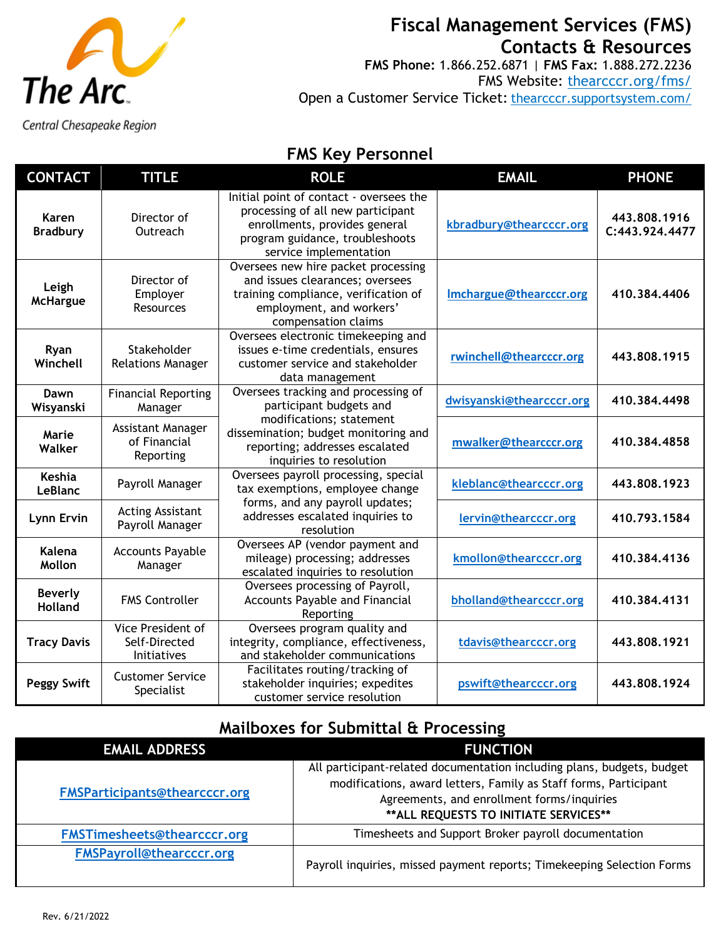

# **Fiscal Management Services (FMS) Contacts & Resources**

**FMS Phone:** 1.866.252.6871 | **FMS Fax:** 1.888.272.2236 FMS Website: [thearcccr.org/fms/](https://thearcccr.org/fms/) Open a Customer Service Ticket: [thearcccr.supportsystem.com/](https://thearcccr.supportsystem.com/)

Central Chesapeake Region

### **FMS Key Personnel**

| <b>CONTACT</b>                   | <b>TITLE</b>                                      | <b>ROLE</b>                                                                                                                                                                | <b>EMAIL</b>             | <b>PHONE</b>                   |
|----------------------------------|---------------------------------------------------|----------------------------------------------------------------------------------------------------------------------------------------------------------------------------|--------------------------|--------------------------------|
| Karen<br><b>Bradbury</b>         | Director of<br>Outreach                           | Initial point of contact - oversees the<br>processing of all new participant<br>enrollments, provides general<br>program guidance, troubleshoots<br>service implementation | kbradbury@thearcccr.org  | 443.808.1916<br>C:443.924.4477 |
| Leigh<br><b>McHargue</b>         | Director of<br>Employer<br>Resources              | Oversees new hire packet processing<br>and issues clearances; oversees<br>training compliance, verification of<br>employment, and workers'<br>compensation claims          | Imchargue@thearcccr.org  | 410.384.4406                   |
| Ryan<br>Winchell                 | Stakeholder<br><b>Relations Manager</b>           | Oversees electronic timekeeping and<br>issues e-time credentials, ensures<br>customer service and stakeholder<br>data management                                           | rwinchell@thearcccr.org  | 443.808.1915                   |
| Dawn<br>Wisyanski                | <b>Financial Reporting</b><br>Manager             | Oversees tracking and processing of<br>participant budgets and                                                                                                             | dwisyanski@thearcccr.org | 410.384.4498                   |
| Marie<br>Walker                  | Assistant Manager<br>of Financial<br>Reporting    | modifications; statement<br>dissemination; budget monitoring and<br>reporting; addresses escalated<br>inquiries to resolution                                              | mwalker@thearcccr.org    | 410.384.4858                   |
| Keshia<br>LeBlanc                | Payroll Manager                                   | Oversees payroll processing, special<br>tax exemptions, employee change                                                                                                    | kleblanc@thearcccr.org   | 443.808.1923                   |
| Lynn Ervin                       | <b>Acting Assistant</b><br>Payroll Manager        | forms, and any payroll updates;<br>addresses escalated inquiries to<br>resolution                                                                                          | lervin@thearcccr.org     | 410.793.1584                   |
| Kalena<br>Mollon                 | <b>Accounts Payable</b><br>Manager                | Oversees AP (vendor payment and<br>mileage) processing; addresses<br>escalated inquiries to resolution                                                                     | kmollon@thearcccr.org    | 410.384.4136                   |
| <b>Beverly</b><br><b>Holland</b> | <b>FMS Controller</b>                             | Oversees processing of Payroll,<br><b>Accounts Payable and Financial</b><br>Reporting                                                                                      | bholland@thearcccr.org   | 410.384.4131                   |
| <b>Tracy Davis</b>               | Vice President of<br>Self-Directed<br>Initiatives | Oversees program quality and<br>integrity, compliance, effectiveness,<br>and stakeholder communications                                                                    | tdavis@thearcccr.org     | 443.808.1921                   |
| <b>Peggy Swift</b>               | <b>Customer Service</b><br>Specialist             | Facilitates routing/tracking of<br>stakeholder inquiries; expedites<br>customer service resolution                                                                         | pswift@thearcccr.org     | 443.808.1924                   |

### **Mailboxes for Submittal & Processing**

| <b>EMAIL ADDRESS</b>               | <b>FUNCTION</b>                                                                                                                                                                                                                    |
|------------------------------------|------------------------------------------------------------------------------------------------------------------------------------------------------------------------------------------------------------------------------------|
| FMSParticipants@thearcccr.org      | All participant-related documentation including plans, budgets, budget<br>modifications, award letters, Family as Staff forms, Participant<br>Agreements, and enrollment forms/inquiries<br>** ALL REQUESTS TO INITIATE SERVICES** |
| <b>FMSTimesheets@thearcccr.org</b> | Timesheets and Support Broker payroll documentation                                                                                                                                                                                |
| <b>FMSPayroll@thearcccr.org</b>    | Payroll inquiries, missed payment reports; Timekeeping Selection Forms                                                                                                                                                             |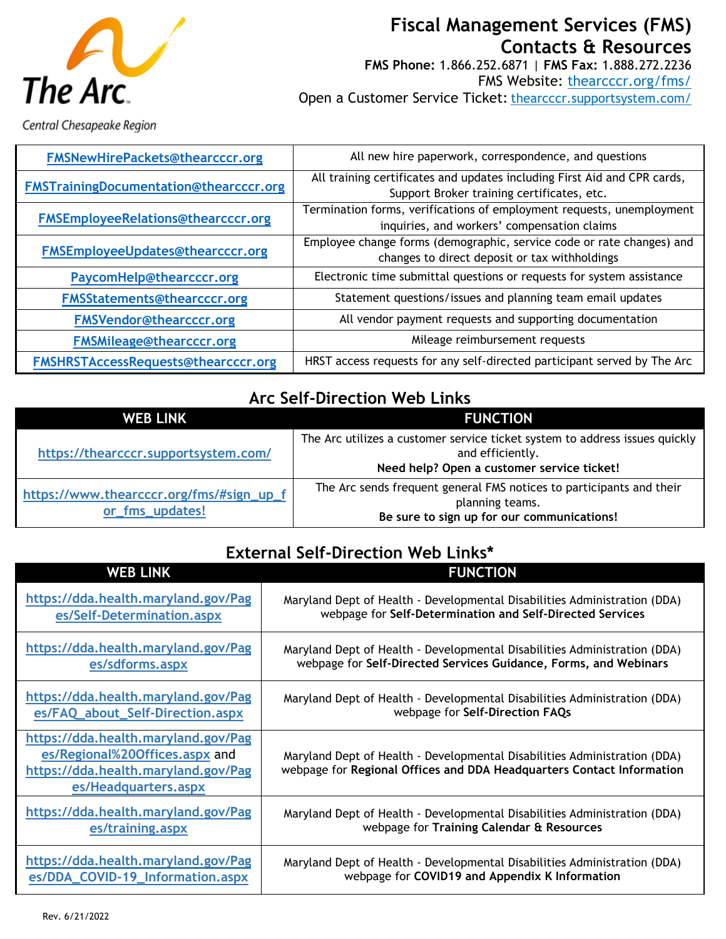

## **Fiscal Management Services (FMS) Contacts & Resources**

**FMS Phone:** 1.866.252.6871 | **FMS Fax:** 1.888.272.2236 FMS Website: [thearcccr.org/fms/](https://thearcccr.org/fms/) Open a Customer Service Ticket: [thearcccr.supportsystem.com/](https://thearcccr.supportsystem.com/)

Central Chesapeake Region

| FMSNewHirePackets@thearcccr.org        | All new hire paperwork, correspondence, and questions                    |
|----------------------------------------|--------------------------------------------------------------------------|
| FMSTrainingDocumentation@thearcccr.org | All training certificates and updates including First Aid and CPR cards, |
|                                        | Support Broker training certificates, etc.                               |
| FMSEmployeeRelations@thearcccr.org     | Termination forms, verifications of employment requests, unemployment    |
|                                        | inquiries, and workers' compensation claims                              |
|                                        | Employee change forms (demographic, service code or rate changes) and    |
| FMSEmployeeUpdates@thearcccr.org       | changes to direct deposit or tax withholdings                            |
| PaycomHelp@thearcccr.org               | Electronic time submittal questions or requests for system assistance    |
| FMSStatements@thearcccr.org            | Statement questions/issues and planning team email updates               |
| <b>FMSVendor@thearcccr.org</b>         | All vendor payment requests and supporting documentation                 |
| <b>FMSMileage@thearcccr.org</b>        | Mileage reimbursement requests                                           |
| FMSHRSTAccessRequests@thearcccr.org    | HRST access requests for any self-directed participant served by The Arc |

### **Arc Self-Direction Web Links**

| <b>WEB LINK</b>                                             | <b>FUNCTION</b>                                                                                                                               |
|-------------------------------------------------------------|-----------------------------------------------------------------------------------------------------------------------------------------------|
| https://thearcccr.supportsystem.com/                        | The Arc utilizes a customer service ticket system to address issues quickly<br>and efficiently.<br>Need help? Open a customer service ticket! |
| https://www.thearcccr.org/fms/#sign_up_f<br>or_fms_updates! | The Arc sends frequent general FMS notices to participants and their<br>planning teams.<br>Be sure to sign up for our communications!         |

### **External Self-Direction Web Links\***

| <b>WEB LINK</b>                                                                                                                      | <b>FUNCTION</b>                                                                                                                                    |
|--------------------------------------------------------------------------------------------------------------------------------------|----------------------------------------------------------------------------------------------------------------------------------------------------|
| https://dda.health.maryland.gov/Pag                                                                                                  | Maryland Dept of Health - Developmental Disabilities Administration (DDA)                                                                          |
| es/Self-Determination.aspx                                                                                                           | webpage for Self-Determination and Self-Directed Services                                                                                          |
| https://dda.health.maryland.gov/Pag                                                                                                  | Maryland Dept of Health - Developmental Disabilities Administration (DDA)                                                                          |
| es/sdforms.aspx                                                                                                                      | webpage for Self-Directed Services Guidance, Forms, and Webinars                                                                                   |
| https://dda.health.maryland.gov/Pag                                                                                                  | Maryland Dept of Health - Developmental Disabilities Administration (DDA)                                                                          |
| es/FAQ_about_Self-Direction.aspx                                                                                                     | webpage for Self-Direction FAQs                                                                                                                    |
| https://dda.health.maryland.gov/Pag<br>es/Regional%20Offices.aspx and<br>https://dda.health.maryland.gov/Pag<br>es/Headquarters.aspx | Maryland Dept of Health - Developmental Disabilities Administration (DDA)<br>webpage for Regional Offices and DDA Headquarters Contact Information |
| https://dda.health.maryland.gov/Pag                                                                                                  | Maryland Dept of Health - Developmental Disabilities Administration (DDA)                                                                          |
| es/training.aspx                                                                                                                     | webpage for Training Calendar & Resources                                                                                                          |
| https://dda.health.maryland.gov/Pag                                                                                                  | Maryland Dept of Health - Developmental Disabilities Administration (DDA)                                                                          |
| es/DDA_COVID-19_Information.aspx                                                                                                     | webpage for COVID19 and Appendix K Information                                                                                                     |